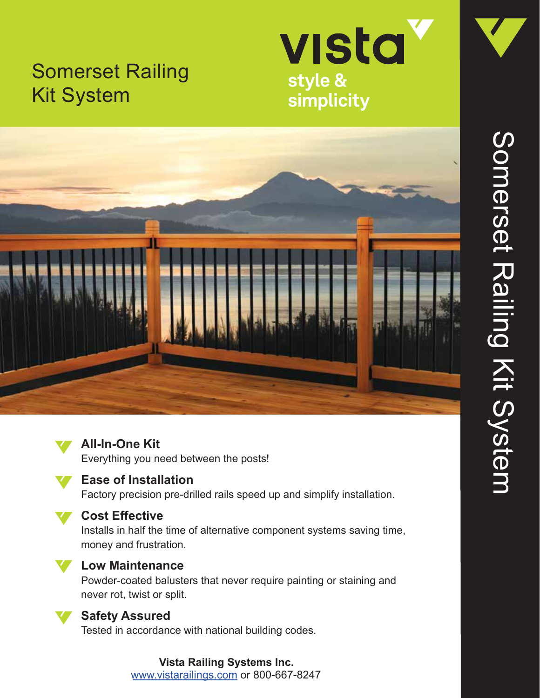# Somerset Railing Kit System



simplicity





## **All-In-One Kit**

Everything you need between the posts!



### **Ease of Installation**

Factory precision pre-drilled rails speed up and simplify installation.



### **Cost Effective**

Installs in half the time of alternative component systems saving time, money and frustration.



#### **Low Maintenance**

Powder-coated balusters that never require painting or staining and never rot, twist or split.



#### **Safety Assured**

Tested in accordance with national building codes.

#### **Vista Railing Systems Inc.** www.vistarailings.com or 800-667-8247